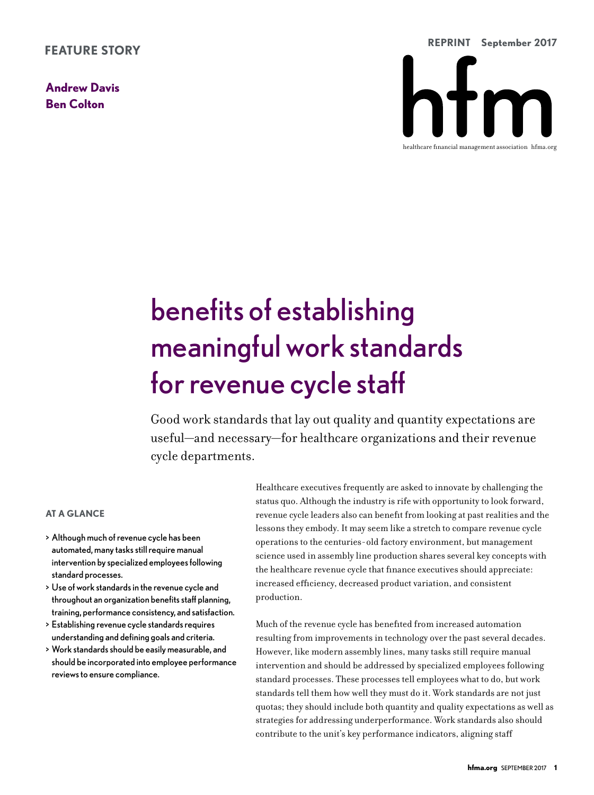**Andrew Davis Ben Colton**



# benefits of establishing meaningful work standards for revenue cycle staff

Good work standards that lay out quality and quantity expectations are useful—and necessary—for healthcare organizations and their revenue cycle departments.

# **AT A GLANCE**

- > Although much of revenue cycle has been automated, many tasks still require manual intervention by specialized employees following standard processes.
- > Use of work standards in the revenue cycle and throughout an organization benefits staff planning, training, performance consistency, and satisfaction.
- > Establishing revenue cycle standards requires understanding and defining goals and criteria.
- > Work standards should be easily measurable, and should be incorporated into employee performance reviews to ensure compliance.

Healthcare executives frequently are asked to innovate by challenging the status quo. Although the industry is rife with opportunity to look forward, revenue cycle leaders also can benefit from looking at past realities and the lessons they embody. It may seem like a stretch to compare revenue cycle operations to the centuries-old factory environment, but management science used in assembly line production shares several key concepts with the healthcare revenue cycle that finance executives should appreciate: increased efficiency, decreased product variation, and consistent production.

Much of the revenue cycle has benefited from increased automation resulting from improvements in technology over the past several decades. However, like modern assembly lines, many tasks still require manual intervention and should be addressed by specialized employees following standard processes. These processes tell employees what to do, but work standards tell them how well they must do it. Work standards are not just quotas; they should include both quantity and quality expectations as well as strategies for addressing underperformance. Work standards also should contribute to the unit's key performance indicators, aligning staff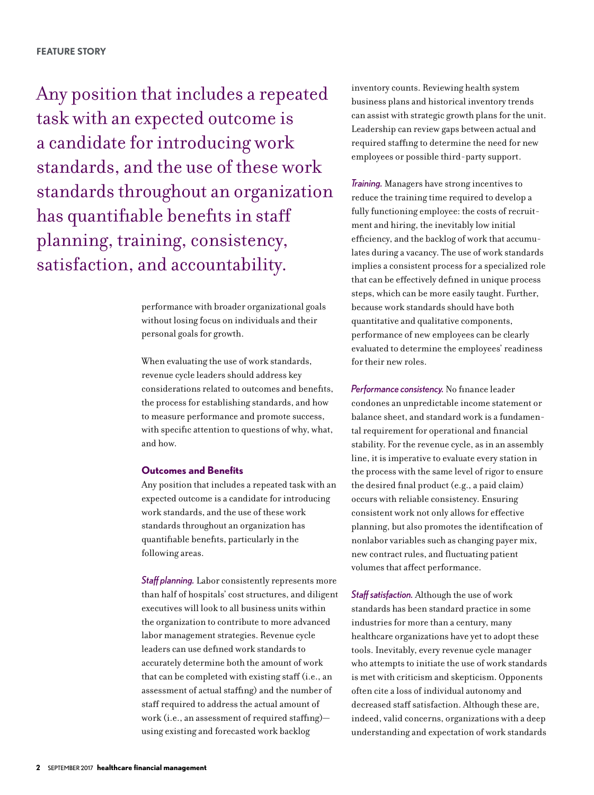Any position that includes a repeated task with an expected outcome is a candidate for introducing work standards, and the use of these work standards throughout an organization has quantifiable benefits in staff planning, training, consistency, satisfaction, and accountability.

> performance with broader organizational goals without losing focus on individuals and their personal goals for growth.

When evaluating the use of work standards, revenue cycle leaders should address key considerations related to outcomes and benefits, the process for establishing standards, and how to measure performance and promote success, with specific attention to questions of why, what, and how.

#### **Outcomes and Benefits**

Any position that includes a repeated task with an expected outcome is a candidate for introducing work standards, and the use of these work standards throughout an organization has quantifiable benefits, particularly in the following areas.

*Staff planning.* Labor consistently represents more than half of hospitals' cost structures, and diligent executives will look to all business units within the organization to contribute to more advanced labor management strategies. Revenue cycle leaders can use defined work standards to accurately determine both the amount of work that can be completed with existing staff (i.e., an assessment of actual staffing) and the number of staff required to address the actual amount of work (i.e., an assessment of required staffing) using existing and forecasted work backlog

inventory counts. Reviewing health system business plans and historical inventory trends can assist with strategic growth plans for the unit. Leadership can review gaps between actual and required staffing to determine the need for new employees or possible third-party support.

*Training.* Managers have strong incentives to reduce the training time required to develop a fully functioning employee: the costs of recruitment and hiring, the inevitably low initial efficiency, and the backlog of work that accumulates during a vacancy. The use of work standards implies a consistent process for a specialized role that can be effectively defined in unique process steps, which can be more easily taught. Further, because work standards should have both quantitative and qualitative components, performance of new employees can be clearly evaluated to determine the employees' readiness for their new roles.

*Performance consistency.* No finance leader condones an unpredictable income statement or balance sheet, and standard work is a fundamental requirement for operational and financial stability. For the revenue cycle, as in an assembly line, it is imperative to evaluate every station in the process with the same level of rigor to ensure the desired final product (e.g., a paid claim) occurs with reliable consistency. Ensuring consistent work not only allows for effective planning, but also promotes the identification of nonlabor variables such as changing payer mix, new contract rules, and fluctuating patient volumes that affect performance.

*Staff satisfaction.* Although the use of work standards has been standard practice in some industries for more than a century, many healthcare organizations have yet to adopt these tools. Inevitably, every revenue cycle manager who attempts to initiate the use of work standards is met with criticism and skepticism. Opponents often cite a loss of individual autonomy and decreased staff satisfaction. Although these are, indeed, valid concerns, organizations with a deep understanding and expectation of work standards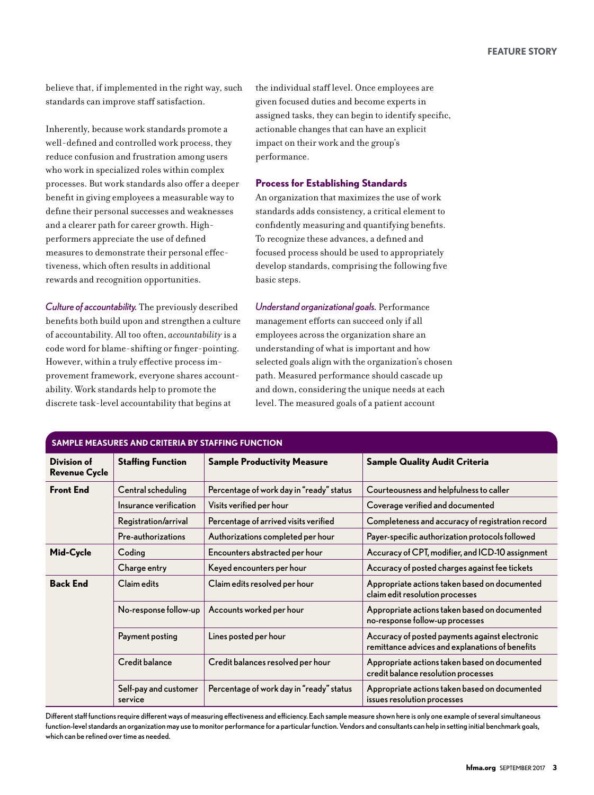believe that, if implemented in the right way, such standards can improve staff satisfaction.

Inherently, because work standards promote a well-defined and controlled work process, they reduce confusion and frustration among users who work in specialized roles within complex processes. But work standards also offer a deeper benefit in giving employees a measurable way to define their personal successes and weaknesses and a clearer path for career growth. Highperformers appreciate the use of defined measures to demonstrate their personal effectiveness, which often results in additional rewards and recognition opportunities.

*Culture of accountability.* The previously described benefits both build upon and strengthen a culture of accountability. All too often, *accountability* is a code word for blame-shifting or finger-pointing. However, within a truly effective process improvement framework, everyone shares accountability. Work standards help to promote the discrete task-level accountability that begins at

the individual staff level. Once employees are given focused duties and become experts in assigned tasks, they can begin to identify specific, actionable changes that can have an explicit impact on their work and the group's performance.

### **Process for Establishing Standards**

An organization that maximizes the use of work standards adds consistency, a critical element to confidently measuring and quantifying benefits. To recognize these advances, a defined and focused process should be used to appropriately develop standards, comprising the following five basic steps.

*Understand organizational goals.* Performance management efforts can succeed only if all employees across the organization share an understanding of what is important and how selected goals align with the organization's chosen path. Measured performance should cascade up and down, considering the unique needs at each level. The measured goals of a patient account

| <b>SAMPLE MEASURES AND CRITERIA BY STAFFING FUNCTION</b> |                                  |                                          |                                                                                                   |  |  |  |  |  |  |
|----------------------------------------------------------|----------------------------------|------------------------------------------|---------------------------------------------------------------------------------------------------|--|--|--|--|--|--|
| Division of<br><b>Revenue Cycle</b>                      | <b>Staffing Function</b>         | <b>Sample Productivity Measure</b>       | <b>Sample Quality Audit Criteria</b>                                                              |  |  |  |  |  |  |
| <b>Front End</b>                                         | Central scheduling               | Percentage of work day in "ready" status | Courteousness and helpfulness to caller                                                           |  |  |  |  |  |  |
|                                                          | Insurance verification           | Visits verified per hour                 | Coverage verified and documented                                                                  |  |  |  |  |  |  |
|                                                          | Registration/arrival             | Percentage of arrived visits verified    | Completeness and accuracy of registration record                                                  |  |  |  |  |  |  |
|                                                          | Pre-authorizations               | Authorizations completed per hour        | Payer-specific authorization protocols followed                                                   |  |  |  |  |  |  |
| Mid-Cycle                                                | Coding                           | Encounters abstracted per hour           | Accuracy of CPT, modifier, and ICD-10 assignment                                                  |  |  |  |  |  |  |
|                                                          | Charge entry                     | Keyed encounters per hour                | Accuracy of posted charges against fee tickets                                                    |  |  |  |  |  |  |
| <b>Back End</b>                                          | Claim edits                      | Claim edits resolved per hour            | Appropriate actions taken based on documented<br>claim edit resolution processes                  |  |  |  |  |  |  |
|                                                          | No-response follow-up            | Accounts worked per hour                 | Appropriate actions taken based on documented<br>no-response follow-up processes                  |  |  |  |  |  |  |
|                                                          | Payment posting                  | Lines posted per hour                    | Accuracy of posted payments against electronic<br>remittance advices and explanations of benefits |  |  |  |  |  |  |
|                                                          | Credit balance                   | Credit balances resolved per hour        | Appropriate actions taken based on documented<br>credit balance resolution processes              |  |  |  |  |  |  |
|                                                          | Self-pay and customer<br>service | Percentage of work day in "ready" status | Appropriate actions taken based on documented<br>issues resolution processes                      |  |  |  |  |  |  |

Different staff functions require different ways of measuring effectiveness and efficiency. Each sample measure shown here is only one example of several simultaneous function-level standards an organization may use to monitor performance for a particular function. Vendors and consultants can help in setting initial benchmark goals, which can be refined over time as needed.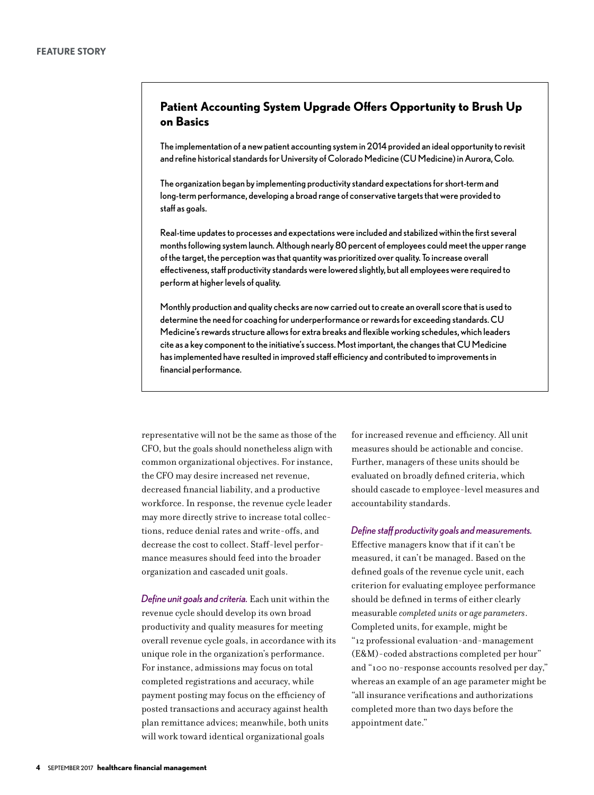# **Patient Accounting System Upgrade Offers Opportunity to Brush Up on Basics**

The implementation of a new patient accounting system in 2014 provided an ideal opportunity to revisit and refine historical standards for University of Colorado Medicine (CU Medicine) in Aurora, Colo.

The organization began by implementing productivity standard expectations for short-term and long-term performance, developing a broad range of conservative targets that were provided to staff as goals.

Real-time updates to processes and expectations were included and stabilized within the first several months following system launch. Although nearly 80 percent of employees could meet the upper range of the target, the perception was that quantity was prioritized over quality. To increase overall effectiveness, staff productivity standards were lowered slightly, but all employees were required to perform at higher levels of quality.

Monthly production and quality checks are now carried out to create an overall score that is used to determine the need for coaching for underperformance or rewards for exceeding standards. CU Medicine's rewards structure allows for extra breaks and flexible working schedules, which leaders cite as a key component to the initiative's success. Most important, the changes that CU Medicine has implemented have resulted in improved staff efficiency and contributed to improvements in financial performance.

representative will not be the same as those of the CFO, but the goals should nonetheless align with common organizational objectives. For instance, the CFO may desire increased net revenue, decreased financial liability, and a productive workforce. In response, the revenue cycle leader may more directly strive to increase total collections, reduce denial rates and write-offs, and decrease the cost to collect. Staff-level performance measures should feed into the broader organization and cascaded unit goals.

*Define unit goals and criteria.* Each unit within the revenue cycle should develop its own broad productivity and quality measures for meeting overall revenue cycle goals, in accordance with its unique role in the organization's performance. For instance, admissions may focus on total completed registrations and accuracy, while payment posting may focus on the efficiency of posted transactions and accuracy against health plan remittance advices; meanwhile, both units will work toward identical organizational goals

for increased revenue and efficiency. All unit measures should be actionable and concise. Further, managers of these units should be evaluated on broadly defined criteria, which should cascade to employee-level measures and accountability standards.

#### *Define staff productivity goals and measurements.*

Effective managers know that if it can't be measured, it can't be managed. Based on the defined goals of the revenue cycle unit, each criterion for evaluating employee performance should be defined in terms of either clearly measurable *completed units* or *age parameters*. Completed units, for example, might be "12 professional evaluation-and-management (E&M)-coded abstractions completed per hour" and "100 no-response accounts resolved per day," whereas an example of an age parameter might be "all insurance verifications and authorizations completed more than two days before the appointment date."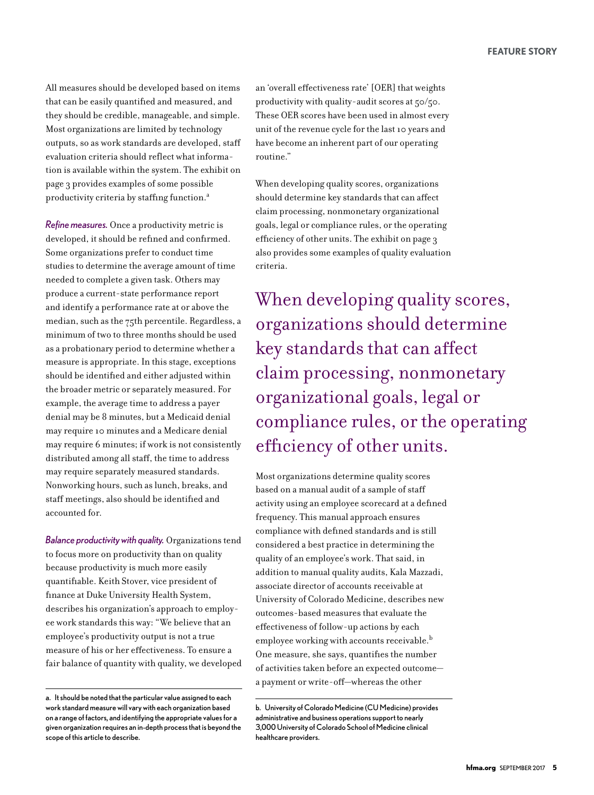All measures should be developed based on items that can be easily quantified and measured, and they should be credible, manageable, and simple. Most organizations are limited by technology outputs, so as work standards are developed, staff evaluation criteria should reflect what information is available within the system. The exhibit on page 3 provides examples of some possible productivity criteria by staffing function.<sup>a</sup>

*Refine measures.* Once a productivity metric is developed, it should be refined and confirmed. Some organizations prefer to conduct time studies to determine the average amount of time needed to complete a given task. Others may produce a current-state performance report and identify a performance rate at or above the median, such as the 75th percentile. Regardless, a minimum of two to three months should be used as a probationary period to determine whether a measure is appropriate. In this stage, exceptions should be identified and either adjusted within the broader metric or separately measured. For example, the average time to address a payer denial may be 8 minutes, but a Medicaid denial may require 10 minutes and a Medicare denial may require 6 minutes; if work is not consistently distributed among all staff, the time to address may require separately measured standards. Nonworking hours, such as lunch, breaks, and staff meetings, also should be identified and accounted for.

*Balance productivity with quality.* Organizations tend to focus more on productivity than on quality because productivity is much more easily quantifiable. Keith Stover, vice president of finance at Duke University Health System, describes his organization's approach to employee work standards this way: "We believe that an employee's productivity output is not a true measure of his or her effectiveness. To ensure a fair balance of quantity with quality, we developed an 'overall effectiveness rate' [OER] that weights productivity with quality-audit scores at 50/50. These OER scores have been used in almost every unit of the revenue cycle for the last 10 years and have become an inherent part of our operating routine."

When developing quality scores, organizations should determine key standards that can affect claim processing, nonmonetary organizational goals, legal or compliance rules, or the operating efficiency of other units. The exhibit on page 3 also provides some examples of quality evaluation criteria.

When developing quality scores, organizations should determine key standards that can affect claim processing, nonmonetary organizational goals, legal or compliance rules, or the operating efficiency of other units.

Most organizations determine quality scores based on a manual audit of a sample of staff activity using an employee scorecard at a defined frequency. This manual approach ensures compliance with defined standards and is still considered a best practice in determining the quality of an employee's work. That said, in addition to manual quality audits, Kala Mazzadi, associate director of accounts receivable at University of Colorado Medicine, describes new outcomes-based measures that evaluate the effectiveness of follow-up actions by each employee working with accounts receivable.<sup>b</sup> One measure, she says, quantifies the number of activities taken before an expected outcome a payment or write-off—whereas the other

a. It should be noted that the particular value assigned to each work standard measure will vary with each organization based on a range of factors, and identifying the appropriate values for a given organization requires an in-depth process that is beyond the scope of this article to describe.

b. University of Colorado Medicine (CU Medicine) provides administrative and business operations support to nearly 3,000 University of Colorado School of Medicine clinical healthcare providers.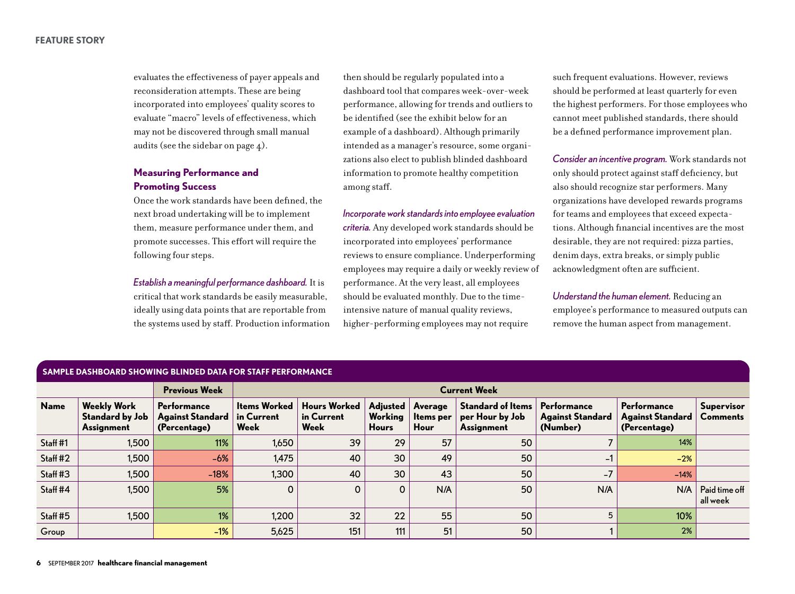#### **FEATURE STORY**

evaluates the effectiveness of payer appeals and reconsideration attempts. These are being incorporated into employees' quality scores to evaluate "macro" levels of effectiveness, which may not be discovered through small manual audits (see the sidebar on page 4).

# **Measuring Performance and Promoting Success**

Once the work standards have been defined, the next broad undertaking will be to implement them, measure performance under them, and promote successes. This effort will require the following four steps.

*Establish a meaningful performance dashboard.* It is critical that work standards be easily measurable, ideally using data points that are reportable from the systems used by staff. Production information then should be regularly populated into a dashboard tool that compares week-over-week performance, allowing for trends and outliers to be identified (see the exhibit below for an example of a dashboard). Although primarily intended as a manager's resource, some organizations also elect to publish blinded dashboard information to promote healthy competition among staff.

*Incorporate work standards into employee evaluation criteria.* Any developed work standards should be incorporated into employees' performance reviews to ensure compliance. Underperforming employees may require a daily or weekly review of performance. At the very least, all employees should be evaluated monthly. Due to the timeintensive nature of manual quality reviews, higher-performing employees may not require

such frequent evaluations. However, reviews should be performed at least quarterly for even the highest performers. For those employees who cannot meet published standards, there should be a defined performance improvement plan.

*Consider an incentive program.* Work standards not only should protect against staff deficiency, but also should recognize star performers. Many organizations have developed rewards programs for teams and employees that exceed expectations. Although financial incentives are the most desirable, they are not required: pizza parties, denim days, extra breaks, or simply public acknowledgment often are sufficient.

*Understand the human element.* Reducing an employee's performance to measured outputs can remove the human aspect from management.

| SAMPLE DASHBOARD SHOWING BLINDED DATA FOR STAFF PERFORMANCE |                                                                   |                                                        |                                           |                                           |                                            |                                     |                                                           |                                                    |                                                        |                                      |  |  |  |
|-------------------------------------------------------------|-------------------------------------------------------------------|--------------------------------------------------------|-------------------------------------------|-------------------------------------------|--------------------------------------------|-------------------------------------|-----------------------------------------------------------|----------------------------------------------------|--------------------------------------------------------|--------------------------------------|--|--|--|
|                                                             |                                                                   | <b>Previous Week</b>                                   | <b>Current Week</b>                       |                                           |                                            |                                     |                                                           |                                                    |                                                        |                                      |  |  |  |
| <b>Name</b>                                                 | <b>Weekly Work</b><br><b>Standard by Job</b><br><b>Assignment</b> | Performance<br><b>Against Standard</b><br>(Percentage) | <b>Items Worked</b><br>in Current<br>Week | <b>Hours Worked</b><br>in Current<br>Week | <b>Adiusted</b><br>Working<br><b>Hours</b> | Average<br><b>Items</b> per<br>Hour | <b>Standard of Items</b><br>per Hour by Job<br>Assignment | Performance<br><b>Against Standard</b><br>(Number) | Performance<br><b>Against Standard</b><br>(Percentage) | <b>Supervisor</b><br><b>Comments</b> |  |  |  |
| Staff #1                                                    | 1,500                                                             | 11%                                                    | 1,650                                     | 39                                        | 29                                         | 57                                  | 50                                                        |                                                    | 14%                                                    |                                      |  |  |  |
| Staff #2                                                    | 1,500                                                             | $-6%$                                                  | 1,475                                     | 40                                        | 30 <sup>°</sup>                            | 49                                  | 50                                                        | $-1$                                               | $-2%$                                                  |                                      |  |  |  |
| Staff #3                                                    | 1,500                                                             | $-18%$                                                 | 1,300                                     | 40                                        | 30 <sup>°</sup>                            | 43                                  | 50                                                        | $-7$                                               | $-14%$                                                 |                                      |  |  |  |
| Staff #4                                                    | 1,500                                                             | 5%                                                     | $\mathbf 0$                               | 0                                         | 0                                          | N/A                                 | 50                                                        | N/A                                                | N/A                                                    | Paid time off<br>all week            |  |  |  |
| Staff #5                                                    | 1,500                                                             | 1%                                                     | 1,200                                     | 32                                        | 22                                         | 55                                  | 50                                                        | 5                                                  | 10%                                                    |                                      |  |  |  |
| Group                                                       |                                                                   | $-1%$                                                  | 5,625                                     | 151                                       | 111                                        | 51                                  | 50                                                        |                                                    | 2%                                                     |                                      |  |  |  |